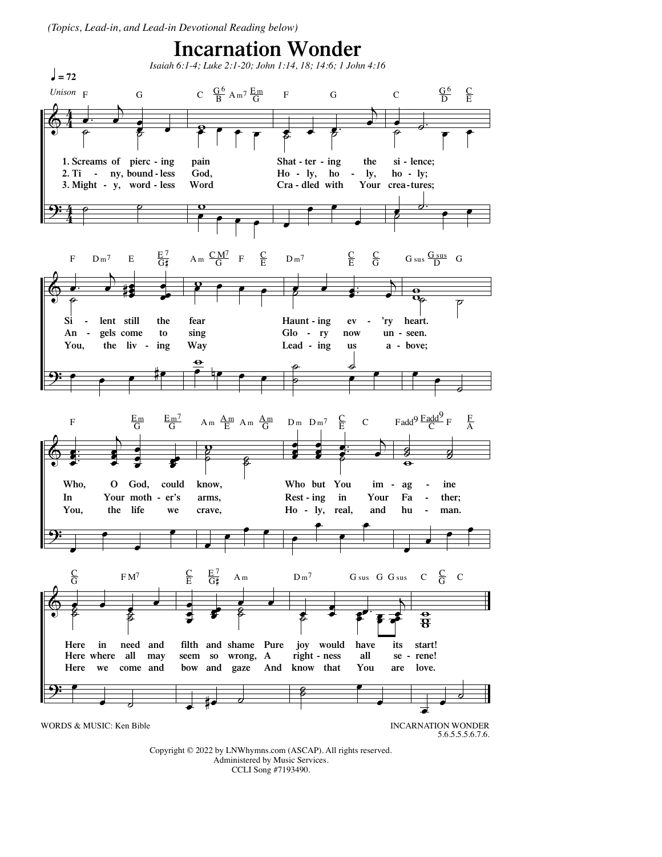(Topics, Lead-in, and Lead-in Devotional Reading below)



Copyright © 2022 by LNWhymns.com (ASCAP). All rights reserved. Administered by Music Services. CCLI Song #7193490.